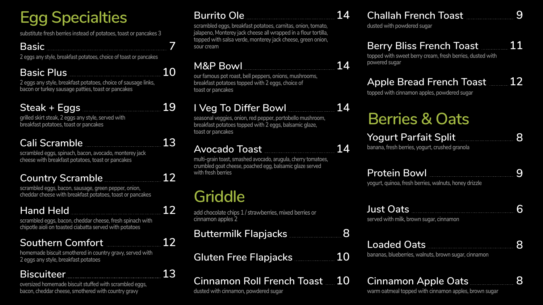# **Egg Specialties**

### **M&P Bowl 14**

**our famous pot roast, bell peppers, onions, mushrooms, breakfast potatoes topped with 2 eggs, choice of toast or pancakes**

### **I Veg To Differ Bowl 14**

**seasonal veggies, onion, red pepper, portobello mushroom, breakfast potatoes topped with 2 eggs, balsamic glaze, toast or pancakes**

### **Avocado Toast 14**

**multi-grain toast, smashed avocado, arugula, cherry tomatoes, crumbled goat cheese, poached egg, balsamic glaze served with fresh berries**

### **Burrito Ole 14**

**scrambled eggs, breakfast potatoes, carnitas, onion, tomato, jalapeno, Monterey jack cheese all wrapped in a flour tortilla, topped with salsa verde, monterey jack cheese, green onion, sour cream**

**dusted with powdered sugar**

### **Southern Comfort 12**

**homemade biscuit smothered in country gravy, served with 2 eggs any style, breakfast potatoes**

**Basic 7**

**2 eggs any style, breakfast potatoes, choice of toast or pancakes**

### **Basic Plus 10**

**2 eggs any style, breakfast potatoes, choice of sausage links, bacon or turkey sausage patties, toast or pancakes**

### **Steak + Eggs 19**

**grilled skirt steak, 2 eggs any style, served with breakfast potatoes, toast or pancakes**

### **Cali Scramble 13**

**scrambled eggs, spinach, bacon, avocado, monterey jack cheese with breakfast potatoes, toast or pancakes**

### **Country Scramble 12**

**scrambled eggs, bacon, sausage, green pepper, onion, cheddar cheese with breakfast potatoes, toast or pancakes**

### **Hand Held 12**

**scrambled eggs, bacon, cheddar cheese, fresh spinach with chipotle aioli on toasted ciabatta served with potatoes**

### **Biscuiteer 13**

**oversized homemade biscuit stuffed with scrambled eggs, bacon, cheddar cheese, smothered with country gravy**

# **Berries & Oats**

**substitute fresh berries instead of potatoes, toast or pancakes 3**

### **Apple Bread French Toast 12**

**topped with cinnamon apples, powdered sugar**

### **Cinnamon Apple Oats 8**

**warm oatmeal topped with cinnamon apples, brown sugar**



### **Yogurt Parfait Split 8**

**banana, fresh berries, yogurt, crushed granola**

### **Protein Bowl 9**

**yogurt, quinoa, fresh berries, walnuts, honey drizzle**

### **Loaded Oats 8**

**bananas, blueberries, walnuts, brown sugar, cinnamon**

### **Just Oats 6 served with milk, brown sugar, cinnamon**

### **Berry Bliss French Toast 11**

**topped with sweet berry cream, fresh berries, dusted with powered sugar**

## **Griddle**

**add chocolate chips 1 / strawberries, mixed berries or cinnamon apples 2**

### **Buttermilk FI**

### **Gluten Free F**

## **Cinnamon Roll French Toast 10**

**dusted with cinnamon, powdered sugar**

| apjacks          |  |   |    |
|------------------|--|---|----|
| <b>ilapjacks</b> |  | . | 10 |

### **Challah French Toast** 9